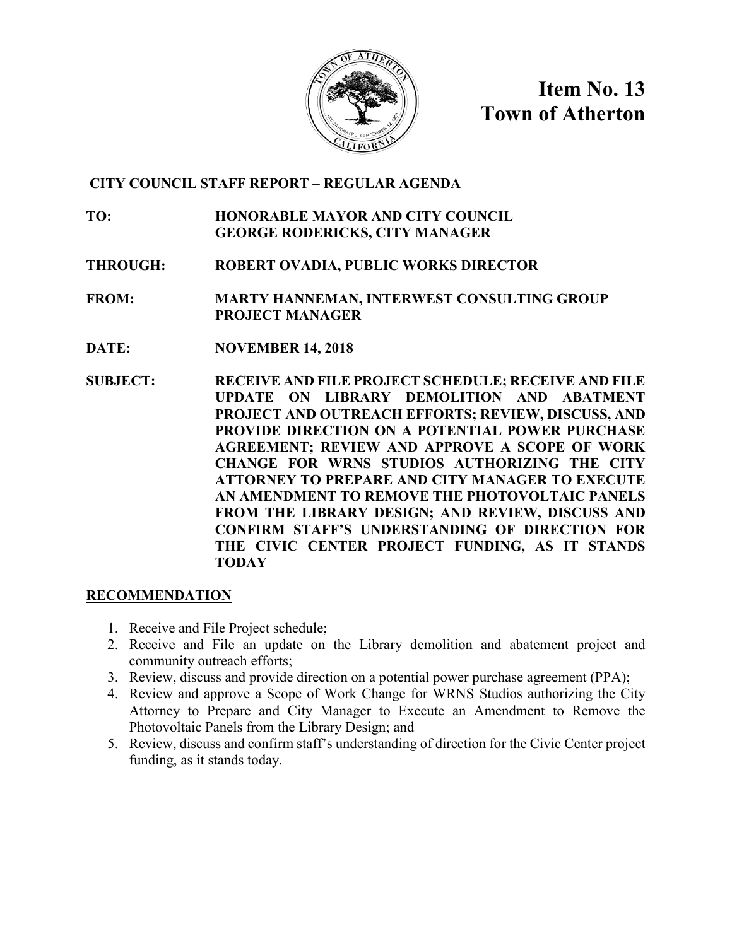

**Item No. 13 Town of Atherton**

# **CITY COUNCIL STAFF REPORT – REGULAR AGENDA**

**TO: HONORABLE MAYOR AND CITY COUNCIL GEORGE RODERICKS, CITY MANAGER**

**THROUGH: ROBERT OVADIA, PUBLIC WORKS DIRECTOR**

**FROM: MARTY HANNEMAN, INTERWEST CONSULTING GROUP PROJECT MANAGER**

- **DATE: NOVEMBER 14, 2018**
- **SUBJECT: RECEIVE AND FILE PROJECT SCHEDULE; RECEIVE AND FILE UPDATE ON LIBRARY DEMOLITION AND ABATMENT PROJECT AND OUTREACH EFFORTS; REVIEW, DISCUSS, AND PROVIDE DIRECTION ON A POTENTIAL POWER PURCHASE AGREEMENT; REVIEW AND APPROVE A SCOPE OF WORK CHANGE FOR WRNS STUDIOS AUTHORIZING THE CITY ATTORNEY TO PREPARE AND CITY MANAGER TO EXECUTE AN AMENDMENT TO REMOVE THE PHOTOVOLTAIC PANELS FROM THE LIBRARY DESIGN; AND REVIEW, DISCUSS AND CONFIRM STAFF'S UNDERSTANDING OF DIRECTION FOR THE CIVIC CENTER PROJECT FUNDING, AS IT STANDS TODAY**

# **RECOMMENDATION**

- 1. Receive and File Project schedule;
- 2. Receive and File an update on the Library demolition and abatement project and community outreach efforts;
- 3. Review, discuss and provide direction on a potential power purchase agreement (PPA);
- 4. Review and approve a Scope of Work Change for WRNS Studios authorizing the City Attorney to Prepare and City Manager to Execute an Amendment to Remove the Photovoltaic Panels from the Library Design; and
- 5. Review, discuss and confirm staff's understanding of direction for the Civic Center project funding, as it stands today.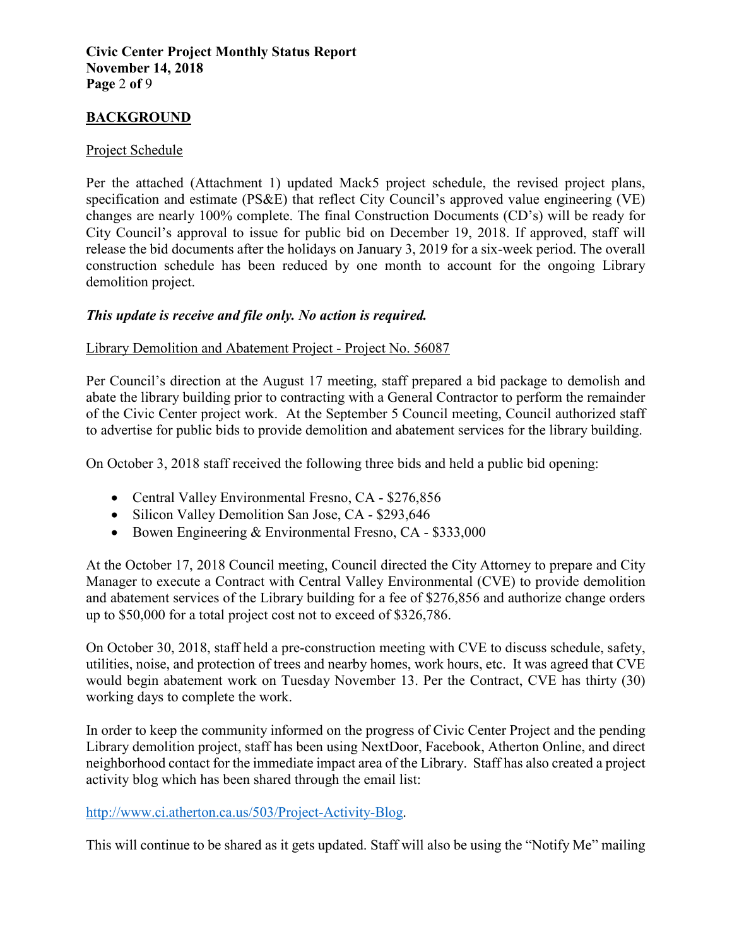#### **Civic Center Project Monthly Status Report November 14, 2018 Page** 2 **of** 9

# **BACKGROUND**

### Project Schedule

Per the attached (Attachment 1) updated Mack5 project schedule, the revised project plans, specification and estimate (PS&E) that reflect City Council's approved value engineering (VE) changes are nearly 100% complete. The final Construction Documents (CD's) will be ready for City Council's approval to issue for public bid on December 19, 2018. If approved, staff will release the bid documents after the holidays on January 3, 2019 for a six-week period. The overall construction schedule has been reduced by one month to account for the ongoing Library demolition project.

### *This update is receive and file only. No action is required.*

### Library Demolition and Abatement Project - Project No. 56087

Per Council's direction at the August 17 meeting, staff prepared a bid package to demolish and abate the library building prior to contracting with a General Contractor to perform the remainder of the Civic Center project work. At the September 5 Council meeting, Council authorized staff to advertise for public bids to provide demolition and abatement services for the library building.

On October 3, 2018 staff received the following three bids and held a public bid opening:

- Central Valley Environmental Fresno, CA \$276,856
- Silicon Valley Demolition San Jose, CA \$293,646
- Bowen Engineering & Environmental Fresno, CA \$333,000

At the October 17, 2018 Council meeting, Council directed the City Attorney to prepare and City Manager to execute a Contract with Central Valley Environmental (CVE) to provide demolition and abatement services of the Library building for a fee of \$276,856 and authorize change orders up to \$50,000 for a total project cost not to exceed of \$326,786.

On October 30, 2018, staff held a pre-construction meeting with CVE to discuss schedule, safety, utilities, noise, and protection of trees and nearby homes, work hours, etc. It was agreed that CVE would begin abatement work on Tuesday November 13. Per the Contract, CVE has thirty (30) working days to complete the work.

In order to keep the community informed on the progress of Civic Center Project and the pending Library demolition project, staff has been using NextDoor, Facebook, Atherton Online, and direct neighborhood contact for the immediate impact area of the Library. Staff has also created a project activity blog which has been shared through the email list:

# [http://www.ci.atherton.ca.us/503/Project-Activity-Blog.](http://www.ci.atherton.ca.us/503/Project-Activity-Blog)

This will continue to be shared as it gets updated. Staff will also be using the "Notify Me" mailing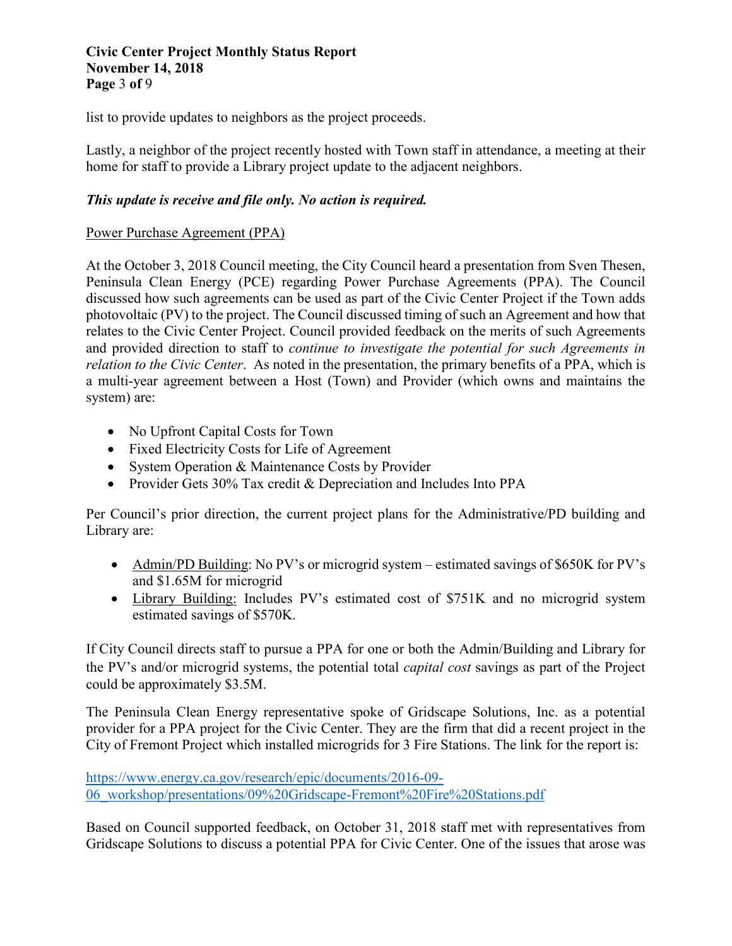#### **Civic Center Project Monthly Status Report November 14, 2018 Page** 3 **of** 9

list to provide updates to neighbors as the project proceeds.

Lastly, a neighbor of the project recently hosted with Town staff in attendance, a meeting at their home for staff to provide a Library project update to the adjacent neighbors.

# *This update is receive and file only. No action is required.*

### Power Purchase Agreement (PPA)

At the October 3, 2018 Council meeting, the City Council heard a presentation from Sven Thesen, Peninsula Clean Energy (PCE) regarding Power Purchase Agreements (PPA). The Council discussed how such agreements can be used as part of the Civic Center Project if the Town adds photovoltaic (PV) to the project. The Council discussed timing of such an Agreement and how that relates to the Civic Center Project. Council provided feedback on the merits of such Agreements and provided direction to staff to *continue to investigate the potential for such Agreements in relation to the Civic Center*. As noted in the presentation, the primary benefits of a PPA, which is a multi-year agreement between a Host (Town) and Provider (which owns and maintains the system) are:

- No Upfront Capital Costs for Town
- Fixed Electricity Costs for Life of Agreement
- System Operation & Maintenance Costs by Provider
- Provider Gets 30% Tax credit & Depreciation and Includes Into PPA

Per Council's prior direction, the current project plans for the Administrative/PD building and Library are:

- Admin/PD Building: No PV's or microgrid system estimated savings of \$650K for PV's and \$1.65M for microgrid
- Library Building: Includes PV's estimated cost of \$751K and no microgrid system estimated savings of \$570K.

If City Council directs staff to pursue a PPA for one or both the Admin/Building and Library for the PV's and/or microgrid systems, the potential total *capital cost* savings as part of the Project could be approximately \$3.5M.

The Peninsula Clean Energy representative spoke of Gridscape Solutions, Inc. as a potential provider for a PPA project for the Civic Center. They are the firm that did a recent project in the City of Fremont Project which installed microgrids for 3 Fire Stations. The link for the report is:

[https://www.energy.ca.gov/research/epic/documents/2016-09-](https://www.energy.ca.gov/research/epic/documents/2016-09-06_workshop/presentations/09%20Gridscape-Fremont%20Fire%20Stations.pdf) [06\\_workshop/presentations/09%20Gridscape-Fremont%20Fire%20Stations.pdf](https://www.energy.ca.gov/research/epic/documents/2016-09-06_workshop/presentations/09%20Gridscape-Fremont%20Fire%20Stations.pdf)

Based on Council supported feedback, on October 31, 2018 staff met with representatives from Gridscape Solutions to discuss a potential PPA for Civic Center. One of the issues that arose was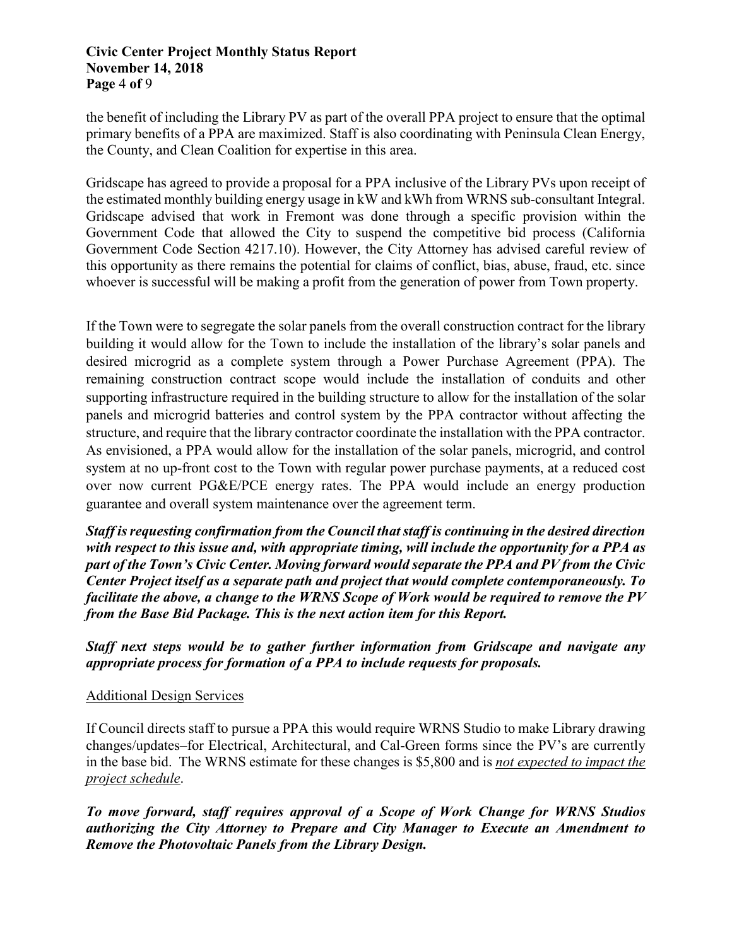#### **Civic Center Project Monthly Status Report November 14, 2018 Page** 4 **of** 9

the benefit of including the Library PV as part of the overall PPA project to ensure that the optimal primary benefits of a PPA are maximized. Staff is also coordinating with Peninsula Clean Energy, the County, and Clean Coalition for expertise in this area.

Gridscape has agreed to provide a proposal for a PPA inclusive of the Library PVs upon receipt of the estimated monthly building energy usage in kW and kWh from WRNS sub-consultant Integral. Gridscape advised that work in Fremont was done through a specific provision within the Government Code that allowed the City to suspend the competitive bid process (California Government Code Section 4217.10). However, the City Attorney has advised careful review of this opportunity as there remains the potential for claims of conflict, bias, abuse, fraud, etc. since whoever is successful will be making a profit from the generation of power from Town property.

If the Town were to segregate the solar panels from the overall construction contract for the library building it would allow for the Town to include the installation of the library's solar panels and desired microgrid as a complete system through a Power Purchase Agreement (PPA). The remaining construction contract scope would include the installation of conduits and other supporting infrastructure required in the building structure to allow for the installation of the solar panels and microgrid batteries and control system by the PPA contractor without affecting the structure, and require that the library contractor coordinate the installation with the PPA contractor. As envisioned, a PPA would allow for the installation of the solar panels, microgrid, and control system at no up-front cost to the Town with regular power purchase payments, at a reduced cost over now current PG&E/PCE energy rates. The PPA would include an energy production guarantee and overall system maintenance over the agreement term.

*Staff is requesting confirmation from the Council that staff is continuing in the desired direction with respect to this issue and, with appropriate timing, will include the opportunity for a PPA as part of the Town's Civic Center. Moving forward would separate the PPA and PV from the Civic Center Project itself as a separate path and project that would complete contemporaneously. To facilitate the above, a change to the WRNS Scope of Work would be required to remove the PV from the Base Bid Package. This is the next action item for this Report.*

*Staff next steps would be to gather further information from Gridscape and navigate any appropriate process for formation of a PPA to include requests for proposals.* 

# Additional Design Services

If Council directs staff to pursue a PPA this would require WRNS Studio to make Library drawing changes/updates–for Electrical, Architectural, and Cal-Green forms since the PV's are currently in the base bid. The WRNS estimate for these changes is \$5,800 and is *not expected to impact the project schedule*.

*To move forward, staff requires approval of a Scope of Work Change for WRNS Studios authorizing the City Attorney to Prepare and City Manager to Execute an Amendment to Remove the Photovoltaic Panels from the Library Design.*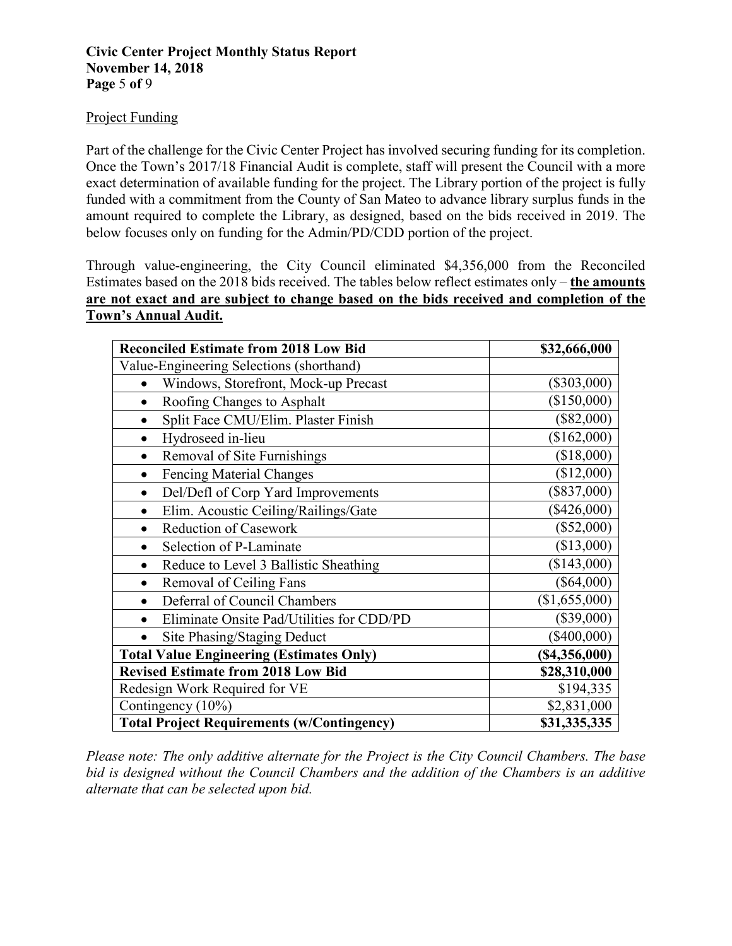#### Project Funding

Part of the challenge for the Civic Center Project has involved securing funding for its completion. Once the Town's 2017/18 Financial Audit is complete, staff will present the Council with a more exact determination of available funding for the project. The Library portion of the project is fully funded with a commitment from the County of San Mateo to advance library surplus funds in the amount required to complete the Library, as designed, based on the bids received in 2019. The below focuses only on funding for the Admin/PD/CDD portion of the project.

Through value-engineering, the City Council eliminated \$4,356,000 from the Reconciled Estimates based on the 2018 bids received. The tables below reflect estimates only – **the amounts are not exact and are subject to change based on the bids received and completion of the Town's Annual Audit.**

| <b>Reconciled Estimate from 2018 Low Bid</b>      | \$32,666,000    |
|---------------------------------------------------|-----------------|
| Value-Engineering Selections (shorthand)          |                 |
| Windows, Storefront, Mock-up Precast              | $(\$303,000)$   |
| Roofing Changes to Asphalt                        | (\$150,000)     |
| Split Face CMU/Elim. Plaster Finish               | $(\$82,000)$    |
| Hydroseed in-lieu                                 | $(\$162,000)$   |
| Removal of Site Furnishings<br>$\bullet$          | (\$18,000)      |
| Fencing Material Changes<br>$\bullet$             | (\$12,000)      |
| Del/Defl of Corp Yard Improvements<br>$\bullet$   | $(\$837,000)$   |
| Elim. Acoustic Ceiling/Railings/Gate              | $(\$426,000)$   |
| <b>Reduction of Casework</b>                      | $(\$52,000)$    |
| Selection of P-Laminate                           | (\$13,000)      |
| Reduce to Level 3 Ballistic Sheathing             | (\$143,000)     |
| Removal of Ceiling Fans<br>$\bullet$              | $(\$64,000)$    |
| Deferral of Council Chambers                      | (\$1,655,000)   |
| Eliminate Onsite Pad/Utilities for CDD/PD         | $(\$39,000)$    |
| Site Phasing/Staging Deduct                       | $(\$400,000)$   |
| <b>Total Value Engineering (Estimates Only)</b>   | $(\$4,356,000)$ |
| <b>Revised Estimate from 2018 Low Bid</b>         | \$28,310,000    |
| Redesign Work Required for VE                     | \$194,335       |
| Contingency (10%)                                 | \$2,831,000     |
| <b>Total Project Requirements (w/Contingency)</b> | \$31,335,335    |

*Please note: The only additive alternate for the Project is the City Council Chambers. The base bid is designed without the Council Chambers and the addition of the Chambers is an additive alternate that can be selected upon bid.*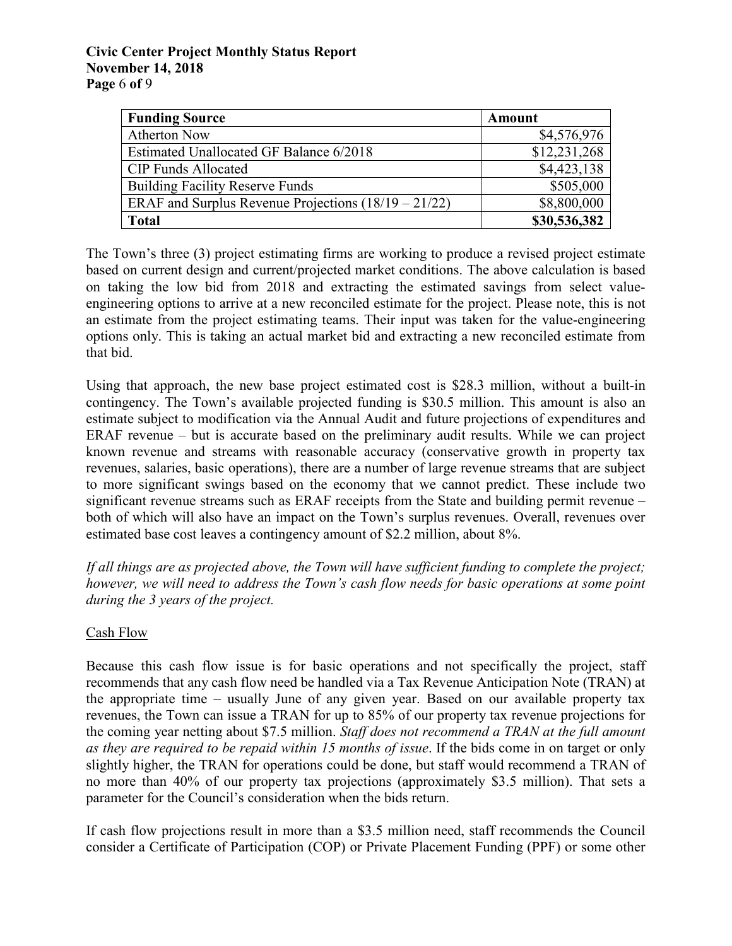#### **Civic Center Project Monthly Status Report November 14, 2018 Page** 6 **of** 9

| <b>Funding Source</b>                                  | <b>Amount</b> |
|--------------------------------------------------------|---------------|
| <b>Atherton Now</b>                                    | \$4,576,976   |
| Estimated Unallocated GF Balance 6/2018                | \$12,231,268  |
| <b>CIP Funds Allocated</b>                             | \$4,423,138   |
| <b>Building Facility Reserve Funds</b>                 | \$505,000     |
| ERAF and Surplus Revenue Projections $(18/19 - 21/22)$ | \$8,800,000   |
| <b>Total</b>                                           | \$30,536,382  |

The Town's three (3) project estimating firms are working to produce a revised project estimate based on current design and current/projected market conditions. The above calculation is based on taking the low bid from 2018 and extracting the estimated savings from select valueengineering options to arrive at a new reconciled estimate for the project. Please note, this is not an estimate from the project estimating teams. Their input was taken for the value-engineering options only. This is taking an actual market bid and extracting a new reconciled estimate from that bid.

Using that approach, the new base project estimated cost is \$28.3 million, without a built-in contingency. The Town's available projected funding is \$30.5 million. This amount is also an estimate subject to modification via the Annual Audit and future projections of expenditures and ERAF revenue – but is accurate based on the preliminary audit results. While we can project known revenue and streams with reasonable accuracy (conservative growth in property tax revenues, salaries, basic operations), there are a number of large revenue streams that are subject to more significant swings based on the economy that we cannot predict. These include two significant revenue streams such as ERAF receipts from the State and building permit revenue – both of which will also have an impact on the Town's surplus revenues. Overall, revenues over estimated base cost leaves a contingency amount of \$2.2 million, about 8%.

*If all things are as projected above, the Town will have sufficient funding to complete the project; however, we will need to address the Town's cash flow needs for basic operations at some point during the 3 years of the project.* 

#### Cash Flow

Because this cash flow issue is for basic operations and not specifically the project, staff recommends that any cash flow need be handled via a Tax Revenue Anticipation Note (TRAN) at the appropriate time – usually June of any given year. Based on our available property tax revenues, the Town can issue a TRAN for up to 85% of our property tax revenue projections for the coming year netting about \$7.5 million. *Staff does not recommend a TRAN at the full amount as they are required to be repaid within 15 months of issue*. If the bids come in on target or only slightly higher, the TRAN for operations could be done, but staff would recommend a TRAN of no more than 40% of our property tax projections (approximately \$3.5 million). That sets a parameter for the Council's consideration when the bids return.

If cash flow projections result in more than a \$3.5 million need, staff recommends the Council consider a Certificate of Participation (COP) or Private Placement Funding (PPF) or some other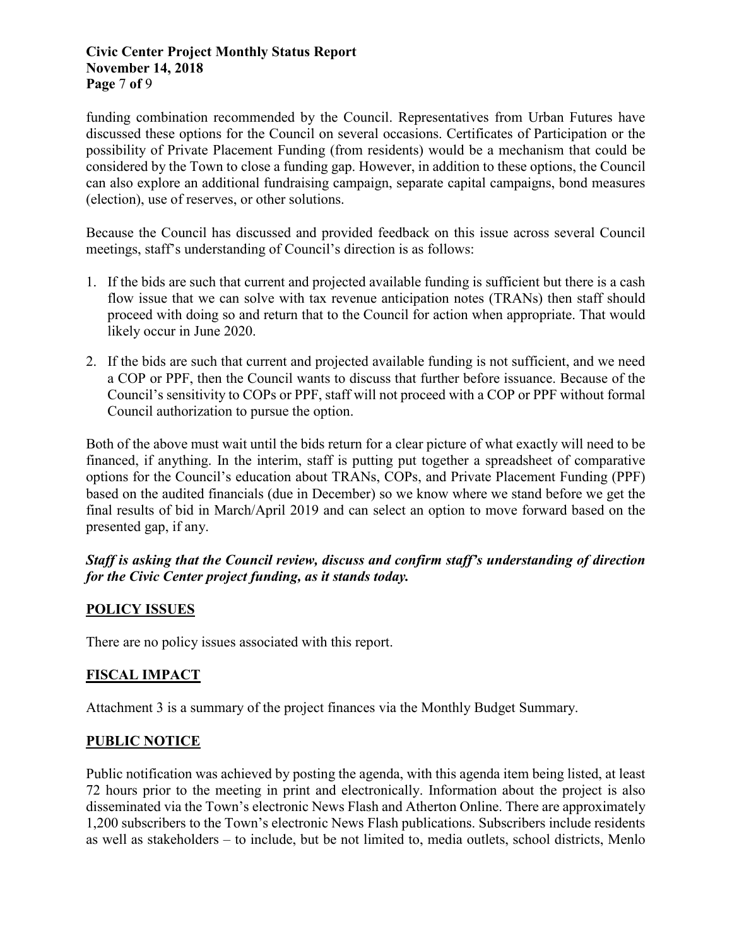#### **Civic Center Project Monthly Status Report November 14, 2018 Page** 7 **of** 9

funding combination recommended by the Council. Representatives from Urban Futures have discussed these options for the Council on several occasions. Certificates of Participation or the possibility of Private Placement Funding (from residents) would be a mechanism that could be considered by the Town to close a funding gap. However, in addition to these options, the Council can also explore an additional fundraising campaign, separate capital campaigns, bond measures (election), use of reserves, or other solutions.

Because the Council has discussed and provided feedback on this issue across several Council meetings, staff's understanding of Council's direction is as follows:

- 1. If the bids are such that current and projected available funding is sufficient but there is a cash flow issue that we can solve with tax revenue anticipation notes (TRANs) then staff should proceed with doing so and return that to the Council for action when appropriate. That would likely occur in June 2020.
- 2. If the bids are such that current and projected available funding is not sufficient, and we need a COP or PPF, then the Council wants to discuss that further before issuance. Because of the Council's sensitivity to COPs or PPF, staff will not proceed with a COP or PPF without formal Council authorization to pursue the option.

Both of the above must wait until the bids return for a clear picture of what exactly will need to be financed, if anything. In the interim, staff is putting put together a spreadsheet of comparative options for the Council's education about TRANs, COPs, and Private Placement Funding (PPF) based on the audited financials (due in December) so we know where we stand before we get the final results of bid in March/April 2019 and can select an option to move forward based on the presented gap, if any.

# *Staff is asking that the Council review, discuss and confirm staff's understanding of direction for the Civic Center project funding, as it stands today.*

# **POLICY ISSUES**

There are no policy issues associated with this report.

# **FISCAL IMPACT**

Attachment 3 is a summary of the project finances via the Monthly Budget Summary.

# **PUBLIC NOTICE**

Public notification was achieved by posting the agenda, with this agenda item being listed, at least 72 hours prior to the meeting in print and electronically. Information about the project is also disseminated via the Town's electronic News Flash and Atherton Online. There are approximately 1,200 subscribers to the Town's electronic News Flash publications. Subscribers include residents as well as stakeholders – to include, but be not limited to, media outlets, school districts, Menlo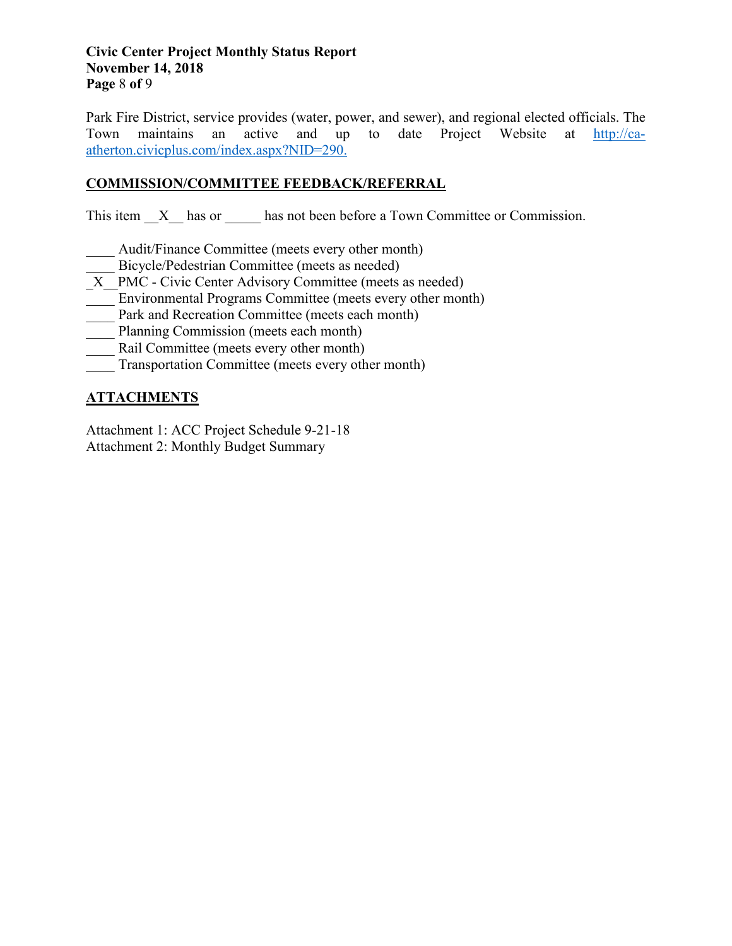#### **Civic Center Project Monthly Status Report November 14, 2018 Page** 8 **of** 9

Park Fire District, service provides (water, power, and sewer), and regional elected officials. The Town maintains an active and up to date Project Website at [http://ca](http://ca-atherton.civicplus.com/index.aspx?NID=290)[atherton.civicplus.com/index.aspx?NID=290.](http://ca-atherton.civicplus.com/index.aspx?NID=290)

# **COMMISSION/COMMITTEE FEEDBACK/REFERRAL**

This item  $X$  has or has not been before a Town Committee or Commission.

- Audit/Finance Committee (meets every other month)
- Bicycle/Pedestrian Committee (meets as needed)
- X PMC Civic Center Advisory Committee (meets as needed)
- Environmental Programs Committee (meets every other month)
- Park and Recreation Committee (meets each month)
- Planning Commission (meets each month)
- Rail Committee (meets every other month)
- Transportation Committee (meets every other month)

# **ATTACHMENTS**

Attachment 1: ACC Project Schedule 9-21-18 Attachment 2: Monthly Budget Summary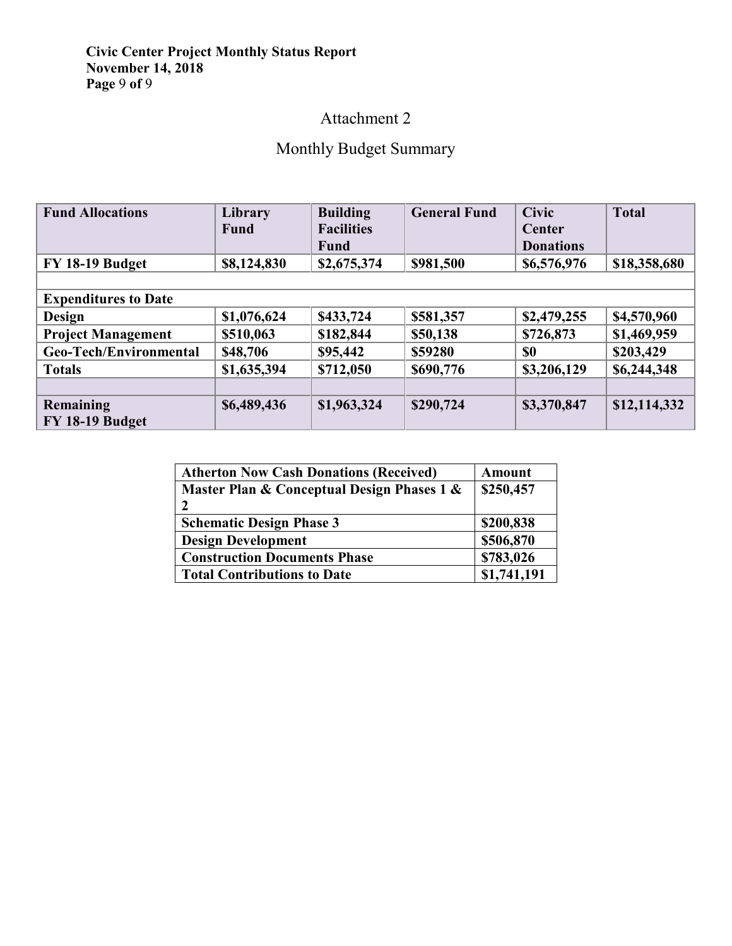### **Civic Center Project Monthly Status Report November 14, 2018 Page** 9 **of** 9

# Attachment 2

# Monthly Budget Summary

| <b>Fund Allocations</b>     | Library     | <b>Building</b>   | <b>General Fund</b> | <b>Civic</b>     | <b>Total</b> |  |  |
|-----------------------------|-------------|-------------------|---------------------|------------------|--------------|--|--|
|                             | <b>Fund</b> | <b>Facilities</b> |                     | Center           |              |  |  |
|                             |             | <b>Fund</b>       |                     | <b>Donations</b> |              |  |  |
| FY 18-19 Budget             | \$8,124,830 | \$2,675,374       | \$981,500           | \$6,576,976      | \$18,358,680 |  |  |
|                             |             |                   |                     |                  |              |  |  |
| <b>Expenditures to Date</b> |             |                   |                     |                  |              |  |  |
| <b>Design</b>               | \$1,076,624 | \$433,724         | \$581,357           | \$2,479,255      | \$4,570,960  |  |  |
| <b>Project Management</b>   | \$510,063   | \$182,844         | \$50,138            | \$726,873        | \$1,469,959  |  |  |
| Geo-Tech/Environmental      | \$48,706    | \$95,442          | \$59280             | \$0              | \$203,429    |  |  |
| <b>Totals</b>               | \$1,635,394 | \$712,050         | \$690,776           | \$3,206,129      | \$6,244,348  |  |  |
|                             |             |                   |                     |                  |              |  |  |
| Remaining                   | \$6,489,436 | \$1,963,324       | \$290,724           | \$3,370,847      | \$12,114,332 |  |  |
| FY 18-19 Budget             |             |                   |                     |                  |              |  |  |

| <b>Atherton Now Cash Donations (Received)</b> | <b>Amount</b> |  |
|-----------------------------------------------|---------------|--|
| Master Plan & Conceptual Design Phases 1 &    | \$250,457     |  |
|                                               |               |  |
| <b>Schematic Design Phase 3</b>               | \$200,838     |  |
| <b>Design Development</b>                     | \$506,870     |  |
| <b>Construction Documents Phase</b>           | \$783,026     |  |
| <b>Total Contributions to Date</b>            | \$1,741,191   |  |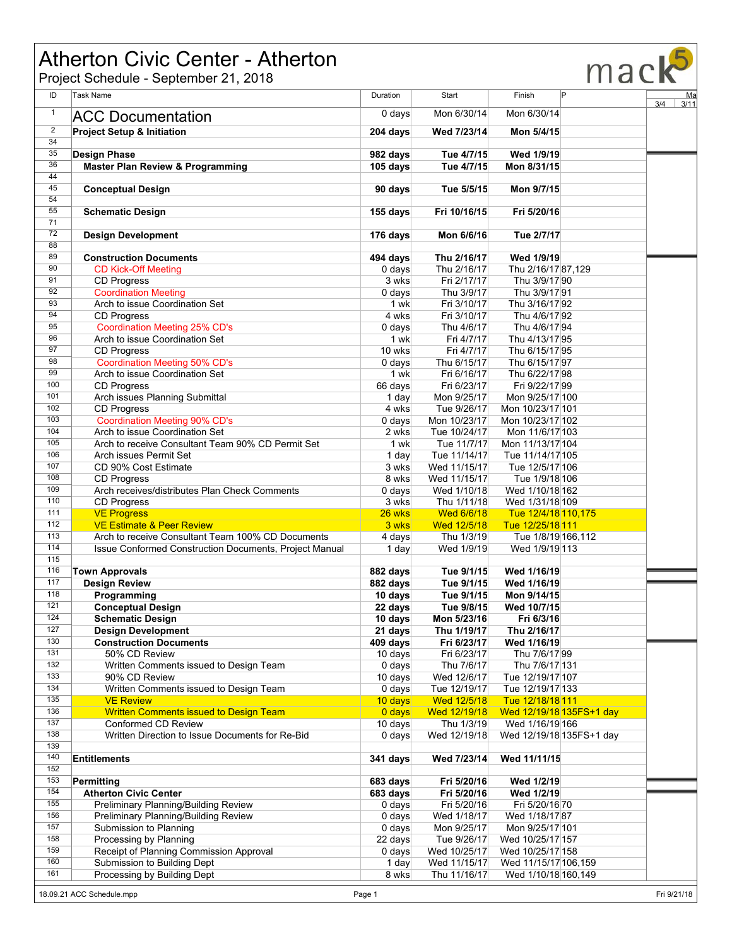# Atherton Civic Center - Atherton

|                      | Atherton Civic Center - Atherton<br>Project Schedule - September 21, 2018 |                               |                             |                                             | macl        |
|----------------------|---------------------------------------------------------------------------|-------------------------------|-----------------------------|---------------------------------------------|-------------|
| ID                   | <b>Task Name</b>                                                          | Duration                      | Start                       | P<br>Finish                                 | Ma          |
| $\mathbf{1}$         | <b>ACC Documentation</b>                                                  | $0$ days                      | Mon 6/30/14                 | Mon 6/30/14                                 | 3/4<br>3/11 |
|                      |                                                                           |                               |                             |                                             |             |
| $\overline{2}$<br>34 | <b>Project Setup &amp; Initiation</b>                                     | 204 days                      | Wed 7/23/14                 | Mon 5/4/15                                  |             |
| 35                   | <b>Design Phase</b>                                                       | 982 days                      | Tue 4/7/15                  | Wed 1/9/19                                  |             |
| 36                   | <b>Master Plan Review &amp; Programming</b>                               | 105 days                      | Tue 4/7/15                  | Mon 8/31/15                                 |             |
| 44                   |                                                                           |                               |                             |                                             |             |
| 45                   | <b>Conceptual Design</b>                                                  | 90 days                       | Tue 5/5/15                  | Mon 9/7/15                                  |             |
| 54<br>55             |                                                                           |                               |                             |                                             |             |
| 71                   | <b>Schematic Design</b>                                                   | 155 days                      | Fri 10/16/15                | Fri 5/20/16                                 |             |
| 72                   | <b>Design Development</b>                                                 | 176 days                      | Mon 6/6/16                  | Tue 2/7/17                                  |             |
| 88                   |                                                                           |                               |                             |                                             |             |
| 89                   | <b>Construction Documents</b>                                             | 494 days                      | Thu 2/16/17                 | Wed 1/9/19                                  |             |
| 90<br>91             | <b>CD Kick-Off Meeting</b>                                                | $0$ days                      | Thu 2/16/17                 | Thu 2/16/17 87,129                          |             |
| 92                   | <b>CD Progress</b><br><b>Coordination Meeting</b>                         | 3 wks<br>$0$ days             | Fri 2/17/17<br>Thu 3/9/17   | Thu 3/9/17 90<br>Thu 3/9/17 91              |             |
| 93                   | Arch to issue Coordination Set                                            | 1 wk                          | Fri 3/10/17                 | Thu 3/16/17 92                              |             |
| 94                   | <b>CD Progress</b>                                                        | 4 wks                         | Fri 3/10/17                 | Thu 4/6/17 92                               |             |
| 95                   | <b>Coordination Meeting 25% CD's</b>                                      | $0$ days                      | Thu 4/6/17                  | Thu 4/6/17 94                               |             |
| 96                   | Arch to issue Coordination Set                                            | 1 wk                          | Fri 4/7/17                  | Thu 4/13/17 95                              |             |
| 97                   | <b>CD Progress</b>                                                        | 10 wks                        | Fri 4/7/17                  | Thu 6/15/17 95                              |             |
| 98                   | <b>Coordination Meeting 50% CD's</b>                                      | $0$ days                      | Thu 6/15/17                 | Thu 6/15/17 97                              |             |
| 99<br>100            | Arch to issue Coordination Set                                            | 1 wk                          | Fri 6/16/17                 | Thu 6/22/17 98                              |             |
| 101                  | <b>CD Progress</b><br>Arch issues Planning Submittal                      | 66 days<br>1 day              | Fri 6/23/17<br>Mon 9/25/17  | Fri 9/22/17 99<br>Mon 9/25/17 100           |             |
| 102                  | <b>CD Progress</b>                                                        | 4 wks                         | Tue 9/26/17                 | Mon 10/23/17 101                            |             |
| 103                  | <b>Coordination Meeting 90% CD's</b>                                      | $0$ days                      | Mon 10/23/17                | Mon 10/23/17 102                            |             |
| 104                  | Arch to issue Coordination Set                                            | 2 wks                         | Tue 10/24/17                | Mon 11/6/17 103                             |             |
| 105                  | Arch to receive Consultant Team 90% CD Permit Set                         | 1 wk                          | Tue 11/7/17                 | Mon 11/13/17 104                            |             |
| 106                  | Arch issues Permit Set                                                    | 1 day                         | Tue 11/14/17                | Tue 11/14/17/105                            |             |
| 107<br>108           | CD 90% Cost Estimate<br><b>CD Progress</b>                                | 3 wks<br>8 wks                | Wed 11/15/17                | Tue 12/5/17 106<br>Tue 1/9/18 106           |             |
| 109                  | Arch receives/distributes Plan Check Comments                             | $0$ days                      | Wed 11/15/17<br>Wed 1/10/18 | Wed 1/10/18 162                             |             |
| 110                  | <b>CD Progress</b>                                                        | 3 wks                         | Thu 1/11/18                 | Wed 1/31/18 109                             |             |
| 111                  | <b>VE Progress</b>                                                        | 26 wks                        | <b>Wed 6/6/18</b>           | Tue 12/4/18 110,175                         |             |
| 112                  | <b>VE Estimate &amp; Peer Review</b>                                      | 3 wks                         | Wed 12/5/18                 | Tue 12/25/18 111                            |             |
| 113                  | Arch to receive Consultant Team 100% CD Documents                         | 4 days                        | Thu 1/3/19                  | Tue 1/8/19 166,112                          |             |
| 114<br>115           | Issue Conformed Construction Documents, Project Manual                    | 1 day                         | Wed 1/9/19                  | Wed 1/9/19 113                              |             |
| 116                  | <b>Town Approvals</b>                                                     | 882 days                      | Tue 9/1/15                  | Wed 1/16/19                                 |             |
| 117                  | <b>Design Review</b>                                                      | 882 days                      | Tue 9/1/15                  | Wed 1/16/19                                 |             |
| 118                  | Programming                                                               | 10 days                       | Tue 9/1/15                  | Mon 9/14/15                                 |             |
| 121                  | <b>Conceptual Design</b>                                                  | 22 days                       | Tue 9/8/15                  | Wed 10/7/15                                 |             |
| 124                  | <b>Schematic Design</b>                                                   | 10 days                       | Mon 5/23/16                 | Fri 6/3/16                                  |             |
| 127                  | <b>Design Development</b>                                                 | 21 days                       | Thu 1/19/17                 | Thu 2/16/17                                 |             |
| 130<br>131           | <b>Construction Documents</b><br>50% CD Review                            | 409 days<br>10 days           | Fri 6/23/17<br>Fri 6/23/17  | Wed 1/16/19<br>Thu 7/6/17 99                |             |
| 132                  | Written Comments issued to Design Team                                    | $0$ days                      | Thu 7/6/17                  | Thu 7/6/17 131                              |             |
| 133                  | 90% CD Review                                                             | 10 days                       | Wed 12/6/17                 | Tue 12/19/17 107                            |             |
| 134                  | Written Comments issued to Design Team                                    | $0$ days                      | Tue 12/19/17                | Tue 12/19/17 133                            |             |
| 135                  | <b>VE Review</b>                                                          | 10 days                       | Wed 12/5/18                 | Tue 12/18/18 111                            |             |
| 136                  | <b>Written Comments issued to Design Team</b>                             | 0 days                        | Wed 12/19/18                | Wed 12/19/18 135FS+1 day                    |             |
| 137<br>138           | Conformed CD Review<br>Written Direction to Issue Documents for Re-Bid    | 10 days<br>0 days             | Thu 1/3/19<br>Wed 12/19/18  | Wed 1/16/19 166<br>Wed 12/19/18 135FS+1 day |             |
| 139                  |                                                                           |                               |                             |                                             |             |
| 140                  | <b>Entitlements</b>                                                       | 341 days                      | Wed 7/23/14                 | Wed 11/11/15                                |             |
| 152                  |                                                                           |                               |                             |                                             |             |
| 153                  | Permitting                                                                | 683 days                      | Fri 5/20/16                 | Wed 1/2/19                                  |             |
| 154                  | <b>Atherton Civic Center</b>                                              | 683 days                      | Fri 5/20/16                 | Wed 1/2/19                                  |             |
| 155<br>156           | Preliminary Planning/Building Review                                      | $0$ days                      | Fri 5/20/16                 | Fri 5/20/16 70                              |             |
| 157                  | Preliminary Planning/Building Review<br>Submission to Planning            | $0$ days<br>0 <sub>days</sub> | Wed 1/18/17<br>Mon 9/25/17  | Wed 1/18/17 87<br>Mon 9/25/17 101           |             |
| 158                  | Processing by Planning                                                    | 22 days                       | Tue 9/26/17                 | Wed 10/25/17 157                            |             |
| 159                  | Receipt of Planning Commission Approval                                   | $0$ days                      | Wed 10/25/17                | Wed 10/25/17 158                            |             |
| 160                  | Submission to Building Dept                                               | 1 day                         | Wed 11/15/17                | Wed 11/15/17 106,159                        |             |
| 161                  | Processing by Building Dept                                               | 8 wks                         | Thu 11/16/17                | Wed 1/10/18 160,149                         |             |
|                      | Fri 9/21/18<br>18.09.21 ACC Schedule.mpp<br>Page 1                        |                               |                             |                                             |             |